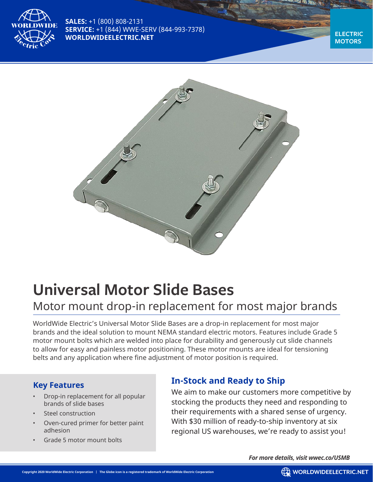

**SALES:** +1 (800) 808-2131 **SERVICE:** +1 (844) WWE-SERV (844-993-7378) **WORLDWIDEELECTRIC.NET** 

**MOTORS**



# **Universal Motor Slide Bases**

## Motor mount drop-in replacement for most major brands

WorldWide Electric's Universal Motor Slide Bases are a drop-in replacement for most major brands and the ideal solution to mount NEMA standard electric motors. Features include Grade 5 motor mount bolts which are welded into place for durability and generously cut slide channels to allow for easy and painless motor positioning. These motor mounts are ideal for tensioning belts and any application where fine adjustment of motor position is required.

#### **Key Features**

- Drop-in replacement for all popular brands of slide bases
- Steel construction
- Oven-cured primer for better paint adhesion
- Grade 5 motor mount bolts

#### **In-Stock and Ready to Ship**

We aim to make our customers more competitive by stocking the products they need and responding to their requirements with a shared sense of urgency. With \$30 million of ready-to-ship inventory at six regional US warehouses, we're ready to assist you!

*For more details, visit wwec.co/USMB*